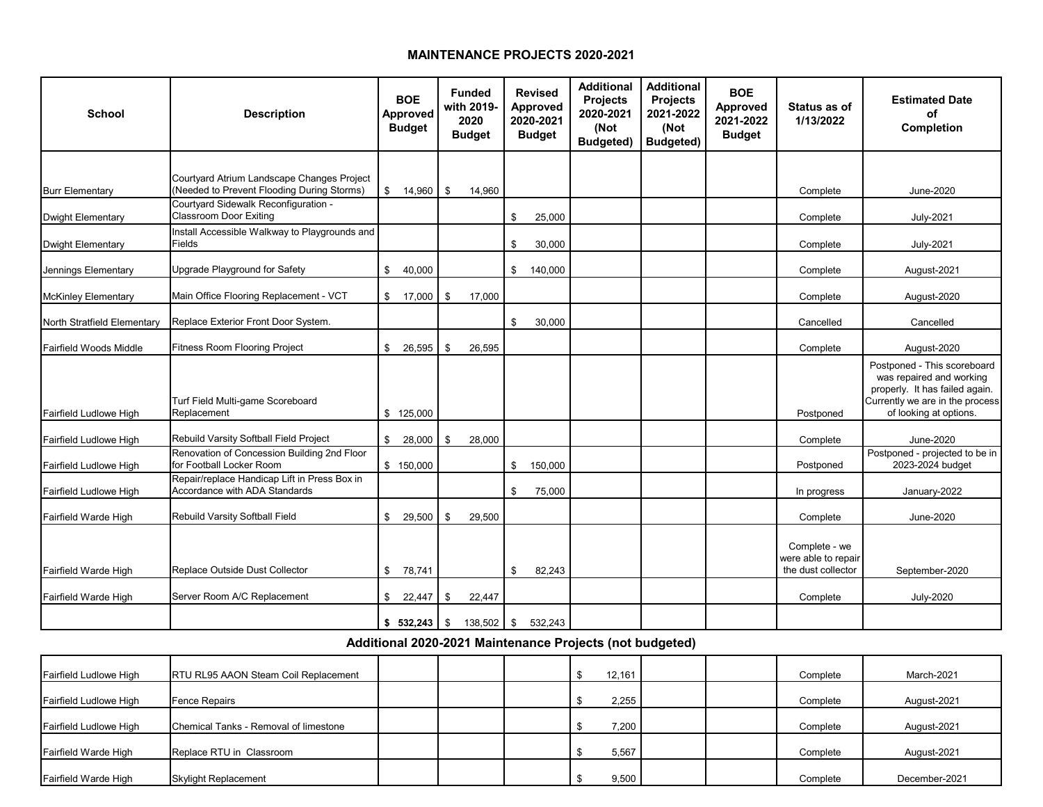## **MAINTENANCE PROJECTS 2020-2021**

| <b>School</b>               | <b>Description</b>                                                                       | <b>BOE</b><br><b>Approved</b><br><b>Budget</b> | <b>Funded</b><br>with 2019-<br>2020<br><b>Budget</b> | <b>Revised</b><br><b>Approved</b><br>2020-2021<br><b>Budget</b> | <b>Additional</b><br><b>Projects</b><br>2020-2021<br>(Not<br><b>Budgeted)</b> | <b>Additional</b><br><b>Projects</b><br>2021-2022<br>(Not<br>Budgeted) | <b>BOE</b><br>Approved<br>2021-2022<br><b>Budget</b> | Status as of<br>1/13/2022                                  | <b>Estimated Date</b><br>of<br><b>Completion</b>                                                                                                       |
|-----------------------------|------------------------------------------------------------------------------------------|------------------------------------------------|------------------------------------------------------|-----------------------------------------------------------------|-------------------------------------------------------------------------------|------------------------------------------------------------------------|------------------------------------------------------|------------------------------------------------------------|--------------------------------------------------------------------------------------------------------------------------------------------------------|
| <b>Burr Elementary</b>      | Courtyard Atrium Landscape Changes Project<br>(Needed to Prevent Flooding During Storms) | $^{\circ}$<br>14,960                           | \$<br>14,960                                         |                                                                 |                                                                               |                                                                        |                                                      | Complete                                                   | June-2020                                                                                                                                              |
| <b>Dwight Elementary</b>    | Courtyard Sidewalk Reconfiguration -<br><b>Classroom Door Exiting</b>                    |                                                |                                                      | \$<br>25,000                                                    |                                                                               |                                                                        |                                                      | Complete                                                   | July-2021                                                                                                                                              |
| <b>Dwight Elementary</b>    | Install Accessible Walkway to Playgrounds and<br>Fields                                  |                                                |                                                      | \$<br>30,000                                                    |                                                                               |                                                                        |                                                      | Complete                                                   | July-2021                                                                                                                                              |
| Jennings Elementary         | Upgrade Playground for Safety                                                            | 40.000<br>\$                                   |                                                      | \$<br>140.000                                                   |                                                                               |                                                                        |                                                      | Complete                                                   | August-2021                                                                                                                                            |
| <b>McKinley Elementary</b>  | Main Office Flooring Replacement - VCT                                                   | \$ 17,000                                      | \$<br>17,000                                         |                                                                 |                                                                               |                                                                        |                                                      | Complete                                                   | August-2020                                                                                                                                            |
| North Stratfield Elementary | Replace Exterior Front Door System.                                                      |                                                |                                                      | \$<br>30,000                                                    |                                                                               |                                                                        |                                                      | Cancelled                                                  | Cancelled                                                                                                                                              |
| Fairfield Woods Middle      | <b>Fitness Room Flooring Project</b>                                                     | \$<br>26,595                                   | 26,595<br>\$                                         |                                                                 |                                                                               |                                                                        |                                                      | Complete                                                   | August-2020                                                                                                                                            |
| Fairfield Ludlowe High      | Turf Field Multi-game Scoreboard<br>Replacement                                          | \$125,000                                      |                                                      |                                                                 |                                                                               |                                                                        |                                                      | Postponed                                                  | Postponed - This scoreboard<br>was repaired and working<br>properly. It has failed again.<br>Currently we are in the process<br>of looking at options. |
| Fairfield Ludlowe High      | Rebuild Varsity Softball Field Project                                                   | \$28,000                                       | \$<br>28,000                                         |                                                                 |                                                                               |                                                                        |                                                      | Complete                                                   | June-2020                                                                                                                                              |
| Fairfield Ludlowe High      | Renovation of Concession Building 2nd Floor<br>for Football Locker Room                  | \$150,000                                      |                                                      | \$<br>150,000                                                   |                                                                               |                                                                        |                                                      | Postponed                                                  | Postponed - projected to be in<br>2023-2024 budget                                                                                                     |
| Fairfield Ludlowe High      | Repair/replace Handicap Lift in Press Box in<br>Accordance with ADA Standards            |                                                |                                                      | \$<br>75,000                                                    |                                                                               |                                                                        |                                                      | In progress                                                | January-2022                                                                                                                                           |
| Fairfield Warde High        | Rebuild Varsity Softball Field                                                           | \$ 29,500                                      | \$<br>29,500                                         |                                                                 |                                                                               |                                                                        |                                                      | Complete                                                   | June-2020                                                                                                                                              |
| Fairfield Warde High        | Replace Outside Dust Collector                                                           | 78,741<br>\$                                   |                                                      | \$<br>82,243                                                    |                                                                               |                                                                        |                                                      | Complete - we<br>were able to repair<br>the dust collector | September-2020                                                                                                                                         |
| Fairfield Warde High        | Server Room A/C Replacement                                                              | \$<br>22,447                                   | \$<br>22,447                                         |                                                                 |                                                                               |                                                                        |                                                      | Complete                                                   | <b>July-2020</b>                                                                                                                                       |
|                             |                                                                                          |                                                | 138,502                                              | \$<br>532,243                                                   |                                                                               |                                                                        |                                                      |                                                            |                                                                                                                                                        |

## **Additional 2020-2021 Maintenance Projects (not budgeted)**

| Fairfield Ludlowe High | RTU RL95 AAON Steam Coil Replacement  |  | 12.161 |  | Complete | March-2021    |
|------------------------|---------------------------------------|--|--------|--|----------|---------------|
| Fairfield Ludlowe High | <b>Fence Repairs</b>                  |  | 2,255  |  | Complete | August-2021   |
| Fairfield Ludlowe High | Chemical Tanks - Removal of limestone |  | 7,200  |  | Complete | August-2021   |
| Fairfield Warde High   | Replace RTU in Classroom              |  | 5,567  |  | Complete | August-2021   |
| Fairfield Warde High   | <b>Skylight Replacement</b>           |  | 9,500  |  | Complete | December-2021 |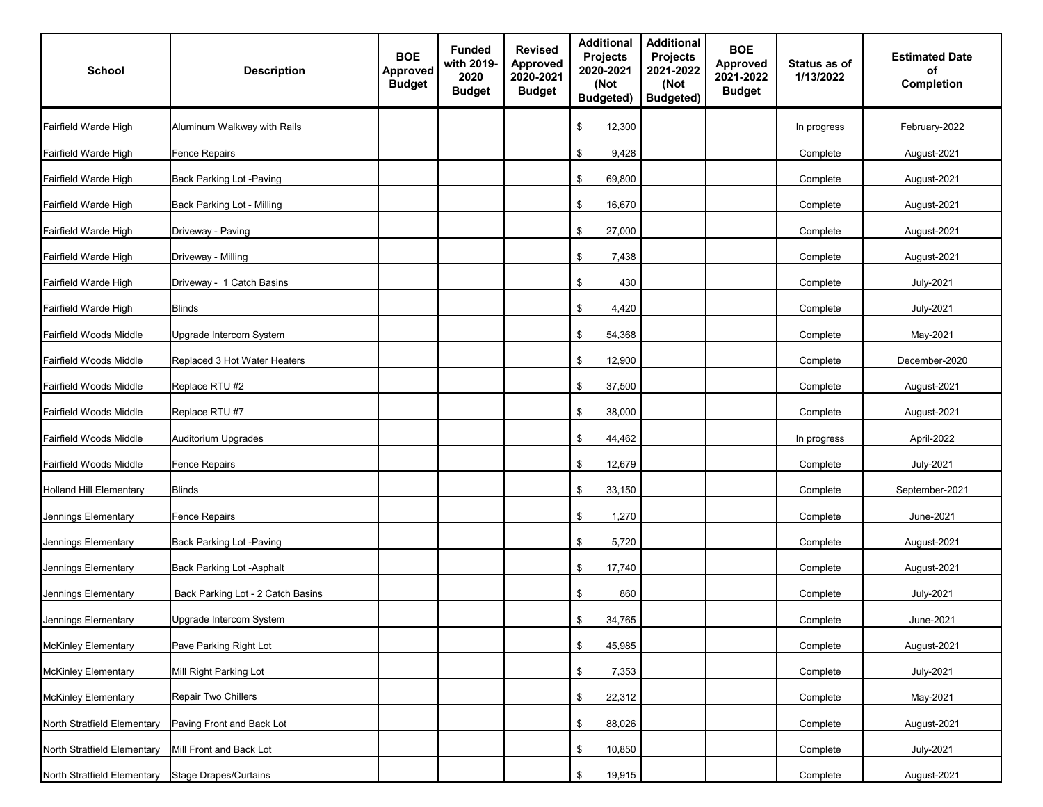| <b>School</b>                  | <b>Description</b>                | <b>BOE</b><br><b>Approved</b><br><b>Budget</b> | <b>Funded</b><br>with 2019-<br>2020<br><b>Budget</b> | <b>Revised</b><br>Approved<br>2020-2021<br><b>Budget</b> | <b>Additional</b><br><b>Projects</b><br>2020-2021<br>(Not<br>Budgeted) | <b>Additional</b><br><b>Projects</b><br>2021-2022<br>(Not<br><b>Budgeted)</b> | <b>BOE</b><br><b>Approved</b><br>2021-2022<br><b>Budget</b> | Status as of<br>1/13/2022 | <b>Estimated Date</b><br>of<br>Completion |
|--------------------------------|-----------------------------------|------------------------------------------------|------------------------------------------------------|----------------------------------------------------------|------------------------------------------------------------------------|-------------------------------------------------------------------------------|-------------------------------------------------------------|---------------------------|-------------------------------------------|
| Fairfield Warde High           | Aluminum Walkway with Rails       |                                                |                                                      |                                                          | 12,300<br>\$                                                           |                                                                               |                                                             | In progress               | February-2022                             |
| Fairfield Warde High           | Fence Repairs                     |                                                |                                                      |                                                          | \$<br>9,428                                                            |                                                                               |                                                             | Complete                  | August-2021                               |
| Fairfield Warde High           | Back Parking Lot -Paving          |                                                |                                                      |                                                          | \$<br>69,800                                                           |                                                                               |                                                             | Complete                  | August-2021                               |
| Fairfield Warde High           | Back Parking Lot - Milling        |                                                |                                                      |                                                          | 16,670<br>\$                                                           |                                                                               |                                                             | Complete                  | August-2021                               |
| Fairfield Warde High           | Driveway - Paving                 |                                                |                                                      |                                                          | 27,000<br>\$                                                           |                                                                               |                                                             | Complete                  | August-2021                               |
| Fairfield Warde High           | Driveway - Milling                |                                                |                                                      |                                                          | 7,438<br>\$                                                            |                                                                               |                                                             | Complete                  | August-2021                               |
| Fairfield Warde High           | Driveway - 1 Catch Basins         |                                                |                                                      |                                                          | \$<br>430                                                              |                                                                               |                                                             | Complete                  | <b>July-2021</b>                          |
| Fairfield Warde High           | <b>Blinds</b>                     |                                                |                                                      |                                                          | \$<br>4,420                                                            |                                                                               |                                                             | Complete                  | July-2021                                 |
| Fairfield Woods Middle         | Upgrade Intercom System           |                                                |                                                      |                                                          | \$<br>54,368                                                           |                                                                               |                                                             | Complete                  | May-2021                                  |
| Fairfield Woods Middle         | Replaced 3 Hot Water Heaters      |                                                |                                                      |                                                          | \$<br>12,900                                                           |                                                                               |                                                             | Complete                  | December-2020                             |
| Fairfield Woods Middle         | Replace RTU #2                    |                                                |                                                      |                                                          | \$<br>37,500                                                           |                                                                               |                                                             | Complete                  | August-2021                               |
| Fairfield Woods Middle         | Replace RTU #7                    |                                                |                                                      |                                                          | 38,000<br>\$                                                           |                                                                               |                                                             | Complete                  | August-2021                               |
| Fairfield Woods Middle         | Auditorium Upgrades               |                                                |                                                      |                                                          | 44,462<br>\$                                                           |                                                                               |                                                             | In progress               | April-2022                                |
| Fairfield Woods Middle         | Fence Repairs                     |                                                |                                                      |                                                          | \$<br>12,679                                                           |                                                                               |                                                             | Complete                  | <b>July-2021</b>                          |
| <b>Holland Hill Elementary</b> | <b>Blinds</b>                     |                                                |                                                      |                                                          | 33,150<br>\$                                                           |                                                                               |                                                             | Complete                  | September-2021                            |
| Jennings Elementary            | <b>Fence Repairs</b>              |                                                |                                                      |                                                          | 1,270<br>\$                                                            |                                                                               |                                                             | Complete                  | June-2021                                 |
| Jennings Elementary            | <b>Back Parking Lot -Paving</b>   |                                                |                                                      |                                                          | \$<br>5,720                                                            |                                                                               |                                                             | Complete                  | August-2021                               |
| Jennings Elementary            | Back Parking Lot -Asphalt         |                                                |                                                      |                                                          | \$<br>17,740                                                           |                                                                               |                                                             | Complete                  | August-2021                               |
| Jennings Elementary            | Back Parking Lot - 2 Catch Basins |                                                |                                                      |                                                          | \$<br>860                                                              |                                                                               |                                                             | Complete                  | <b>July-2021</b>                          |
| Jennings Elementary            | Upgrade Intercom System           |                                                |                                                      |                                                          | \$<br>34,765                                                           |                                                                               |                                                             | Complete                  | June-2021                                 |
| <b>McKinley Elementary</b>     | Pave Parking Right Lot            |                                                |                                                      |                                                          | 45,985<br>\$                                                           |                                                                               |                                                             | Complete                  | August-2021                               |
| <b>McKinley Elementary</b>     | Mill Right Parking Lot            |                                                |                                                      |                                                          | 7,353<br>\$                                                            |                                                                               |                                                             | Complete                  | <b>July-2021</b>                          |
| <b>McKinley Elementary</b>     | Repair Two Chillers               |                                                |                                                      |                                                          | 22,312<br>\$                                                           |                                                                               |                                                             | Complete                  | May-2021                                  |
| North Stratfield Elementary    | Paving Front and Back Lot         |                                                |                                                      |                                                          | \$<br>88,026                                                           |                                                                               |                                                             | Complete                  | August-2021                               |
| North Stratfield Elementary    | Mill Front and Back Lot           |                                                |                                                      |                                                          | 10,850<br>\$                                                           |                                                                               |                                                             | Complete                  | <b>July-2021</b>                          |
| North Stratfield Elementary    | <b>Stage Drapes/Curtains</b>      |                                                |                                                      |                                                          | 19,915<br>\$                                                           |                                                                               |                                                             | Complete                  | August-2021                               |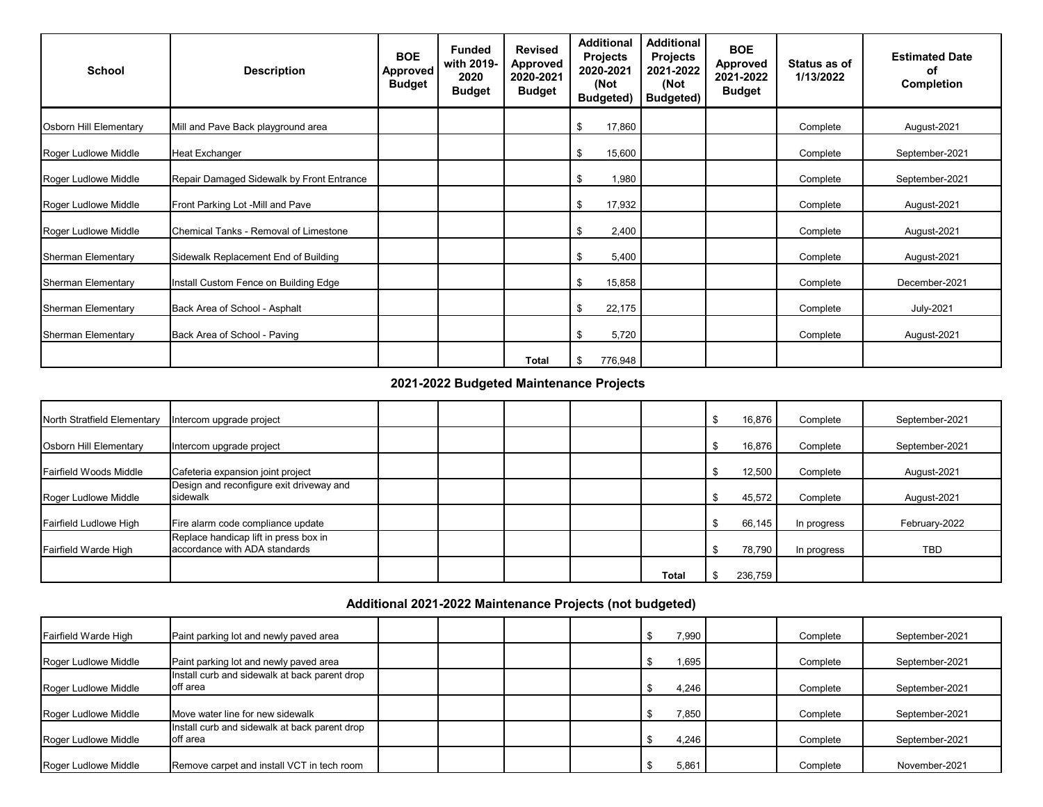| <b>School</b>                 | <b>Description</b>                        | <b>BOE</b><br>Approved<br><b>Budget</b> | <b>Funded</b><br>with 2019-<br>2020<br><b>Budget</b> | <b>Revised</b><br><b>Approved</b><br>2020-2021<br><b>Budget</b> | <b>Additional</b><br><b>Projects</b><br>2020-2021<br>(Not<br>Budgeted) |         | <b>Additional</b><br><b>Projects</b><br>2021-2022<br>(Not<br>Budgeted) | <b>BOE</b><br>Approved<br>2021-2022<br><b>Budget</b> | Status as of<br>1/13/2022 | <b>Estimated Date</b><br>οf<br><b>Completion</b> |
|-------------------------------|-------------------------------------------|-----------------------------------------|------------------------------------------------------|-----------------------------------------------------------------|------------------------------------------------------------------------|---------|------------------------------------------------------------------------|------------------------------------------------------|---------------------------|--------------------------------------------------|
| <b>Osborn Hill Elementary</b> | Mill and Pave Back playground area        |                                         |                                                      |                                                                 | \$                                                                     | 17,860  |                                                                        |                                                      | Complete                  | August-2021                                      |
| Roger Ludlowe Middle          | Heat Exchanger                            |                                         |                                                      |                                                                 | \$                                                                     | 15,600  |                                                                        |                                                      | Complete                  | September-2021                                   |
| Roger Ludlowe Middle          | Repair Damaged Sidewalk by Front Entrance |                                         |                                                      |                                                                 | \$                                                                     | 1,980   |                                                                        |                                                      | Complete                  | September-2021                                   |
| Roger Ludlowe Middle          | Front Parking Lot -Mill and Pave          |                                         |                                                      |                                                                 | \$                                                                     | 17,932  |                                                                        |                                                      | Complete                  | August-2021                                      |
| Roger Ludlowe Middle          | Chemical Tanks - Removal of Limestone     |                                         |                                                      |                                                                 | \$                                                                     | 2,400   |                                                                        |                                                      | Complete                  | August-2021                                      |
| Sherman Elementary            | Sidewalk Replacement End of Building      |                                         |                                                      |                                                                 | \$                                                                     | 5,400   |                                                                        |                                                      | Complete                  | August-2021                                      |
| Sherman Elementary            | Install Custom Fence on Building Edge     |                                         |                                                      |                                                                 | \$                                                                     | 15,858  |                                                                        |                                                      | Complete                  | December-2021                                    |
| Sherman Elementary            | Back Area of School - Asphalt             |                                         |                                                      |                                                                 |                                                                        | 22,175  |                                                                        |                                                      | Complete                  | <b>July-2021</b>                                 |
| Sherman Elementary            | Back Area of School - Paving              |                                         |                                                      |                                                                 | \$                                                                     | 5,720   |                                                                        |                                                      | Complete                  | August-2021                                      |
|                               |                                           |                                         |                                                      | <b>Total</b>                                                    |                                                                        | 776,948 |                                                                        |                                                      |                           |                                                  |

## **2021-2022 Budgeted Maintenance Projects**

| North Stratfield Elementary   | Intercom upgrade project                                               |  |  |       | 16,876  | Complete    | September-2021 |
|-------------------------------|------------------------------------------------------------------------|--|--|-------|---------|-------------|----------------|
| <b>Osborn Hill Elementary</b> | Intercom upgrade project                                               |  |  |       | 16,876  | Complete    | September-2021 |
| Fairfield Woods Middle        | Cafeteria expansion joint project                                      |  |  |       | 12,500  | Complete    | August-2021    |
| Roger Ludlowe Middle          | Design and reconfigure exit driveway and<br>sidewalk                   |  |  |       | 45,572  | Complete    | August-2021    |
| Fairfield Ludlowe High        | Fire alarm code compliance update                                      |  |  |       | 66,145  | In progress | February-2022  |
| Fairfield Warde High          | Replace handicap lift in press box in<br>accordance with ADA standards |  |  |       | 78,790  | In progress | <b>TBD</b>     |
|                               |                                                                        |  |  | Total | 236,759 |             |                |

## **Additional 2021-2022 Maintenance Projects (not budgeted)**

| Fairfield Warde High | Paint parking lot and newly paved area                    |  |  | 7,990 | Complete | September-2021 |
|----------------------|-----------------------------------------------------------|--|--|-------|----------|----------------|
| Roger Ludlowe Middle | Paint parking lot and newly paved area                    |  |  | 1,695 | Complete | September-2021 |
| Roger Ludlowe Middle | Install curb and sidewalk at back parent drop<br>off area |  |  | 4,246 | Complete | September-2021 |
| Roger Ludlowe Middle | Move water line for new sidewalk                          |  |  | 7,850 | Complete | September-2021 |
| Roger Ludlowe Middle | Install curb and sidewalk at back parent drop<br>off area |  |  | 4,246 | Complete | September-2021 |
| Roger Ludlowe Middle | Remove carpet and install VCT in tech room                |  |  | 5,861 | Complete | November-2021  |